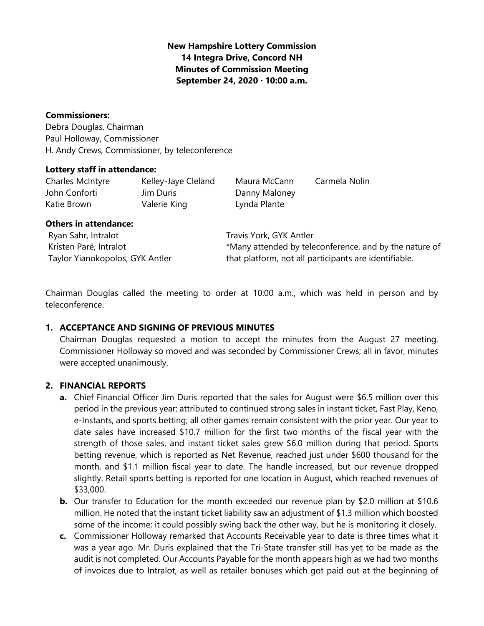**New Hampshire Lottery Commission 14 Integra Drive, Concord NH Minutes of Commission Meeting September 24, 2020 · 10:00 a.m.**

### **Commissioners:**

Debra Douglas, Chairman Paul Holloway, Commissioner H. Andy Crews, Commissioner, by teleconference

#### **Lottery staff in attendance:**

| Charles McIntyre | Kelley-Jaye Cleland | Maura McCann  | Carmela Nolin |
|------------------|---------------------|---------------|---------------|
| John Conforti    | Jim Duris           | Danny Maloney |               |
| Katie Brown      | Valerie King        | Lynda Plante  |               |

#### **Others in attendance:**

| Ryan Sahr, Intralot             | Travis York, GYK Antler                                |
|---------------------------------|--------------------------------------------------------|
| Kristen Paré, Intralot          | *Many attended by teleconference, and by the nature of |
| Taylor Yianokopolos, GYK Antler | that platform, not all participants are identifiable.  |

Chairman Douglas called the meeting to order at 10:00 a.m., which was held in person and by teleconference.

### **1. ACCEPTANCE AND SIGNING OF PREVIOUS MINUTES**

Chairman Douglas requested a motion to accept the minutes from the August 27 meeting. Commissioner Holloway so moved and was seconded by Commissioner Crews; all in favor, minutes were accepted unanimously.

### **2. FINANCIAL REPORTS**

- **a.** Chief Financial Officer Jim Duris reported that the sales for August were \$6.5 million over this period in the previous year; attributed to continued strong sales in instant ticket, Fast Play, Keno, e-Instants, and sports betting; all other games remain consistent with the prior year. Our year to date sales have increased \$10.7 million for the first two months of the fiscal year with the strength of those sales, and instant ticket sales grew \$6.0 million during that period. Sports betting revenue, which is reported as Net Revenue, reached just under \$600 thousand for the month, and \$1.1 million fiscal year to date. The handle increased, but our revenue dropped slightly. Retail sports betting is reported for one location in August, which reached revenues of \$33,000.
- **b.** Our transfer to Education for the month exceeded our revenue plan by \$2.0 million at \$10.6 million. He noted that the instant ticket liability saw an adjustment of \$1.3 million which boosted some of the income; it could possibly swing back the other way, but he is monitoring it closely.
- **c.** Commissioner Holloway remarked that Accounts Receivable year to date is three times what it was a year ago. Mr. Duris explained that the Tri-State transfer still has yet to be made as the audit is not completed. Our Accounts Payable for the month appears high as we had two months of invoices due to Intralot, as well as retailer bonuses which got paid out at the beginning of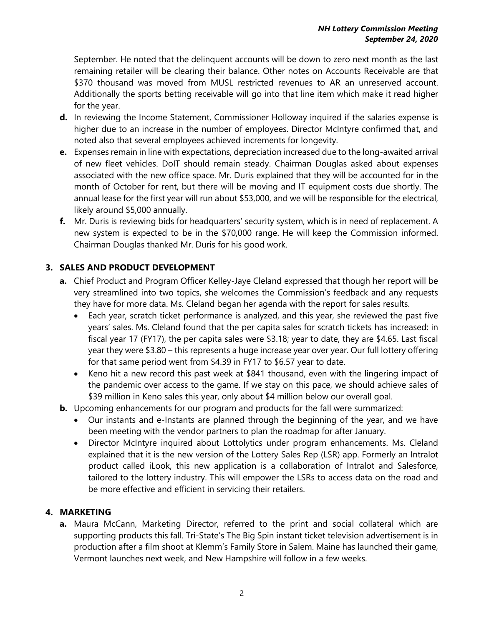September. He noted that the delinquent accounts will be down to zero next month as the last remaining retailer will be clearing their balance. Other notes on Accounts Receivable are that \$370 thousand was moved from MUSL restricted revenues to AR an unreserved account. Additionally the sports betting receivable will go into that line item which make it read higher for the year.

- **d.** In reviewing the Income Statement, Commissioner Holloway inquired if the salaries expense is higher due to an increase in the number of employees. Director McIntyre confirmed that, and noted also that several employees achieved increments for longevity.
- **e.** Expenses remain in line with expectations, depreciation increased due to the long-awaited arrival of new fleet vehicles. DoIT should remain steady. Chairman Douglas asked about expenses associated with the new office space. Mr. Duris explained that they will be accounted for in the month of October for rent, but there will be moving and IT equipment costs due shortly. The annual lease for the first year will run about \$53,000, and we will be responsible for the electrical, likely around \$5,000 annually.
- **f.** Mr. Duris is reviewing bids for headquarters' security system, which is in need of replacement. A new system is expected to be in the \$70,000 range. He will keep the Commission informed. Chairman Douglas thanked Mr. Duris for his good work.

# **3. SALES AND PRODUCT DEVELOPMENT**

- **a.** Chief Product and Program Officer Kelley-Jaye Cleland expressed that though her report will be very streamlined into two topics, she welcomes the Commission's feedback and any requests they have for more data. Ms. Cleland began her agenda with the report for sales results.
	- Each year, scratch ticket performance is analyzed, and this year, she reviewed the past five years' sales. Ms. Cleland found that the per capita sales for scratch tickets has increased: in fiscal year 17 (FY17), the per capita sales were \$3.18; year to date, they are \$4.65. Last fiscal year they were \$3.80 – this represents a huge increase year over year. Our full lottery offering for that same period went from \$4.39 in FY17 to \$6.57 year to date.
	- Keno hit a new record this past week at \$841 thousand, even with the lingering impact of the pandemic over access to the game. If we stay on this pace, we should achieve sales of \$39 million in Keno sales this year, only about \$4 million below our overall goal.
- **b.** Upcoming enhancements for our program and products for the fall were summarized:
	- Our instants and e-Instants are planned through the beginning of the year, and we have been meeting with the vendor partners to plan the roadmap for after January.
	- Director McIntyre inquired about Lottolytics under program enhancements. Ms. Cleland explained that it is the new version of the Lottery Sales Rep (LSR) app. Formerly an Intralot product called iLook, this new application is a collaboration of Intralot and Salesforce, tailored to the lottery industry. This will empower the LSRs to access data on the road and be more effective and efficient in servicing their retailers.

## **4. MARKETING**

**a.** Maura McCann, Marketing Director, referred to the print and social collateral which are supporting products this fall. Tri-State's The Big Spin instant ticket television advertisement is in production after a film shoot at Klemm's Family Store in Salem. Maine has launched their game, Vermont launches next week, and New Hampshire will follow in a few weeks.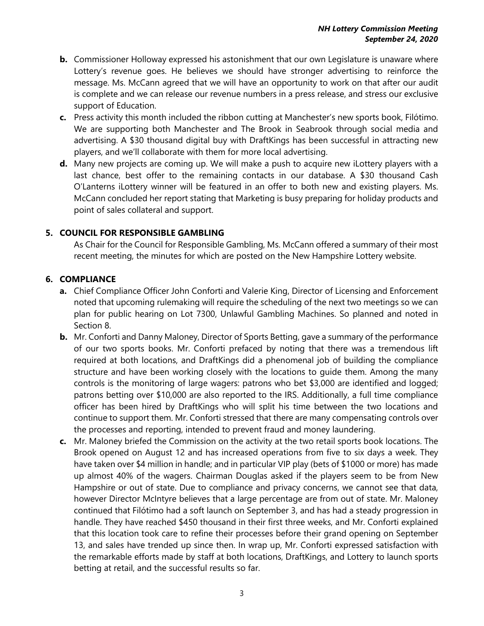- **b.** Commissioner Holloway expressed his astonishment that our own Legislature is unaware where Lottery's revenue goes. He believes we should have stronger advertising to reinforce the message. Ms. McCann agreed that we will have an opportunity to work on that after our audit is complete and we can release our revenue numbers in a press release, and stress our exclusive support of Education.
- **c.** Press activity this month included the ribbon cutting at Manchester's new sports book, Filótimo. We are supporting both Manchester and The Brook in Seabrook through social media and advertising. A \$30 thousand digital buy with DraftKings has been successful in attracting new players, and we'll collaborate with them for more local advertising.
- **d.** Many new projects are coming up. We will make a push to acquire new iLottery players with a last chance, best offer to the remaining contacts in our database. A \$30 thousand Cash O'Lanterns iLottery winner will be featured in an offer to both new and existing players. Ms. McCann concluded her report stating that Marketing is busy preparing for holiday products and point of sales collateral and support.

# **5. COUNCIL FOR RESPONSIBLE GAMBLING**

As Chair for the Council for Responsible Gambling, Ms. McCann offered a summary of their most recent meeting, the minutes for which are posted on the New Hampshire Lottery website.

## **6. COMPLIANCE**

- **a.** Chief Compliance Officer John Conforti and Valerie King, Director of Licensing and Enforcement noted that upcoming rulemaking will require the scheduling of the next two meetings so we can plan for public hearing on Lot 7300, Unlawful Gambling Machines. So planned and noted in Section 8.
- **b.** Mr. Conforti and Danny Maloney, Director of Sports Betting, gave a summary of the performance of our two sports books. Mr. Conforti prefaced by noting that there was a tremendous lift required at both locations, and DraftKings did a phenomenal job of building the compliance structure and have been working closely with the locations to guide them. Among the many controls is the monitoring of large wagers: patrons who bet \$3,000 are identified and logged; patrons betting over \$10,000 are also reported to the IRS. Additionally, a full time compliance officer has been hired by DraftKings who will split his time between the two locations and continue to support them. Mr. Conforti stressed that there are many compensating controls over the processes and reporting, intended to prevent fraud and money laundering.
- **c.** Mr. Maloney briefed the Commission on the activity at the two retail sports book locations. The Brook opened on August 12 and has increased operations from five to six days a week. They have taken over \$4 million in handle; and in particular VIP play (bets of \$1000 or more) has made up almost 40% of the wagers. Chairman Douglas asked if the players seem to be from New Hampshire or out of state. Due to compliance and privacy concerns, we cannot see that data, however Director McIntyre believes that a large percentage are from out of state. Mr. Maloney continued that Filótimo had a soft launch on September 3, and has had a steady progression in handle. They have reached \$450 thousand in their first three weeks, and Mr. Conforti explained that this location took care to refine their processes before their grand opening on September 13, and sales have trended up since then. In wrap up, Mr. Conforti expressed satisfaction with the remarkable efforts made by staff at both locations, DraftKings, and Lottery to launch sports betting at retail, and the successful results so far.